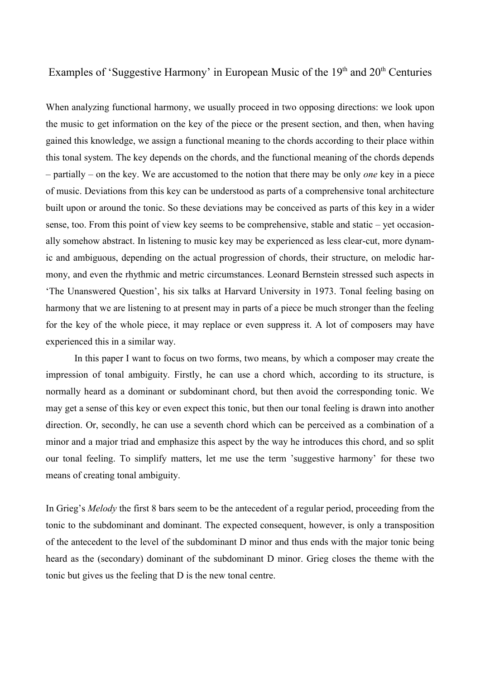## Examples of 'Suggestive Harmony' in European Music of the 19<sup>th</sup> and 20<sup>th</sup> Centuries

When analyzing functional harmony, we usually proceed in two opposing directions: we look upon the music to get information on the key of the piece or the present section, and then, when having gained this knowledge, we assign a functional meaning to the chords according to their place within this tonal system. The key depends on the chords, and the functional meaning of the chords depends – partially – on the key. We are accustomed to the notion that there may be only *one* key in a piece of music. Deviations from this key can be understood as parts of a comprehensive tonal architecture built upon or around the tonic. So these deviations may be conceived as parts of this key in a wider sense, too. From this point of view key seems to be comprehensive, stable and static – yet occasionally somehow abstract. In listening to music key may be experienced as less clear-cut, more dynamic and ambiguous, depending on the actual progression of chords, their structure, on melodic harmony, and even the rhythmic and metric circumstances. Leonard Bernstein stressed such aspects in 'The Unanswered Question', his six talks at Harvard University in 1973. Tonal feeling basing on harmony that we are listening to at present may in parts of a piece be much stronger than the feeling for the key of the whole piece, it may replace or even suppress it. A lot of composers may have experienced this in a similar way.

In this paper I want to focus on two forms, two means, by which a composer may create the impression of tonal ambiguity. Firstly, he can use a chord which, according to its structure, is normally heard as a dominant or subdominant chord, but then avoid the corresponding tonic. We may get a sense of this key or even expect this tonic, but then our tonal feeling is drawn into another direction. Or, secondly, he can use a seventh chord which can be perceived as a combination of a minor and a major triad and emphasize this aspect by the way he introduces this chord, and so split our tonal feeling. To simplify matters, let me use the term 'suggestive harmony' for these two means of creating tonal ambiguity.

In Grieg's *Melody* the first 8 bars seem to be the antecedent of a regular period, proceeding from the tonic to the subdominant and dominant. The expected consequent, however, is only a transposition of the antecedent to the level of the subdominant D minor and thus ends with the major tonic being heard as the (secondary) dominant of the subdominant D minor. Grieg closes the theme with the tonic but gives us the feeling that D is the new tonal centre.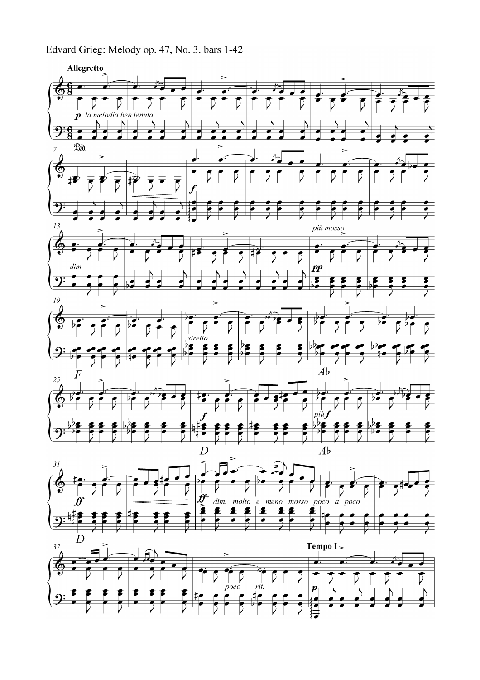Edvard Grieg: Melody op. 47, No. 3, bars 1-42

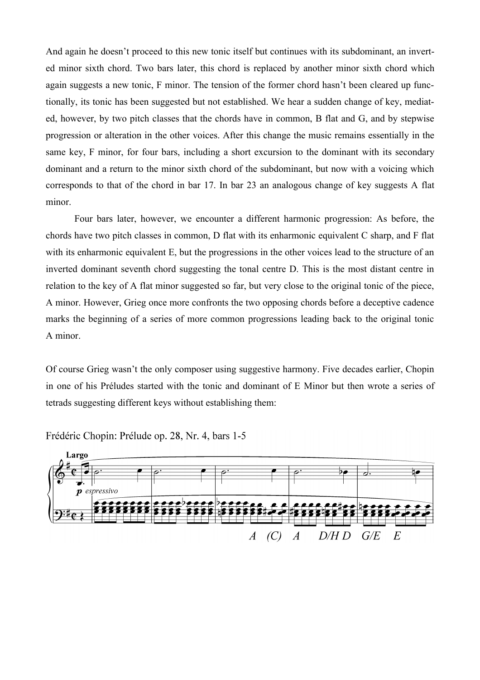And again he doesn't proceed to this new tonic itself but continues with its subdominant, an inverted minor sixth chord. Two bars later, this chord is replaced by another minor sixth chord which again suggests a new tonic, F minor. The tension of the former chord hasn't been cleared up functionally, its tonic has been suggested but not established. We hear a sudden change of key, mediated, however, by two pitch classes that the chords have in common, B flat and G, and by stepwise progression or alteration in the other voices. After this change the music remains essentially in the same key, F minor, for four bars, including a short excursion to the dominant with its secondary dominant and a return to the minor sixth chord of the subdominant, but now with a voicing which corresponds to that of the chord in bar 17. In bar 23 an analogous change of key suggests A flat minor.

Four bars later, however, we encounter a different harmonic progression: As before, the chords have two pitch classes in common, D flat with its enharmonic equivalent C sharp, and F flat with its enharmonic equivalent E, but the progressions in the other voices lead to the structure of an inverted dominant seventh chord suggesting the tonal centre D. This is the most distant centre in relation to the key of A flat minor suggested so far, but very close to the original tonic of the piece, A minor. However, Grieg once more confronts the two opposing chords before a deceptive cadence marks the beginning of a series of more common progressions leading back to the original tonic A minor.

Of course Grieg wasn't the only composer using suggestive harmony. Five decades earlier, Chopin in one of his Préludes started with the tonic and dominant of E Minor but then wrote a series of tetrads suggesting different keys without establishing them:



Frédéric Chopin: Prélude op. 28, Nr. 4, bars 1-5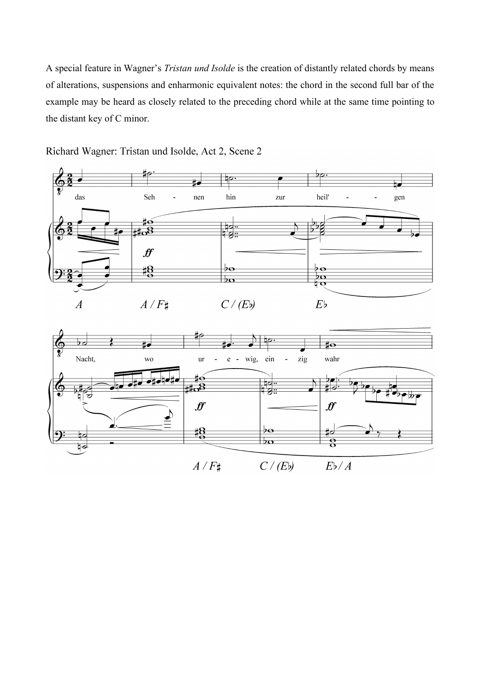A special feature in Wagner's *Tristan und Isolde* is the creation of distantly related chords by means of alterations, suspensions and enharmonic equivalent notes: the chord in the second full bar of the example may be heard as closely related to the preceding chord while at the same time pointing to the distant key of C minor.



Richard Wagner: Tristan und Isolde, Act 2, Scene 2

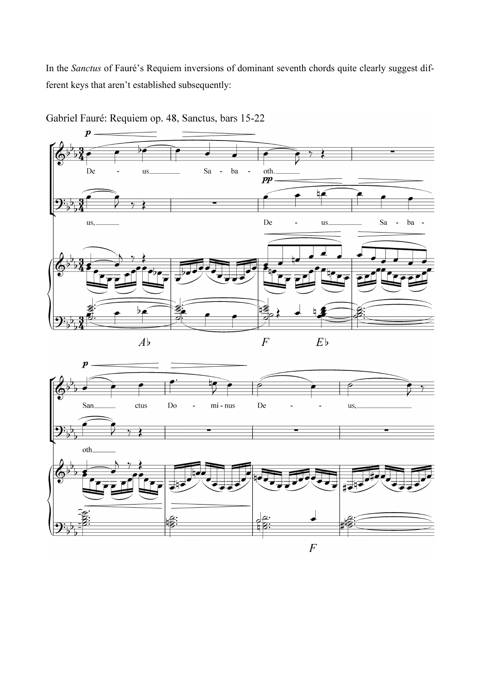In the *Sanctus* of Fauré's Requiem inversions of dominant seventh chords quite clearly suggest different keys that aren't established subsequently:



Gabriel Fauré: Requiem op. 48, Sanctus, bars 15-22

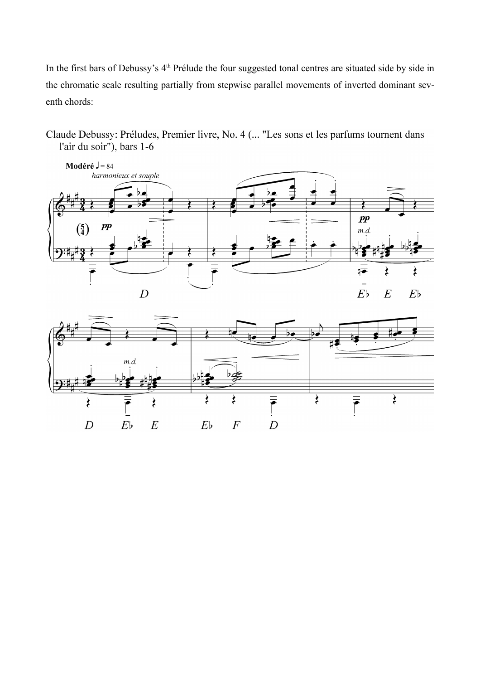In the first bars of Debussy's 4<sup>th</sup> Prélude the four suggested tonal centres are situated side by side in the chromatic scale resulting partially from stepwise parallel movements of inverted dominant seventh chords:

Claude Debussy: Préludes, Premier livre, No. 4 (... "Les sons et les parfums tournent dans l'air du soir"), bars  $1-6$ 



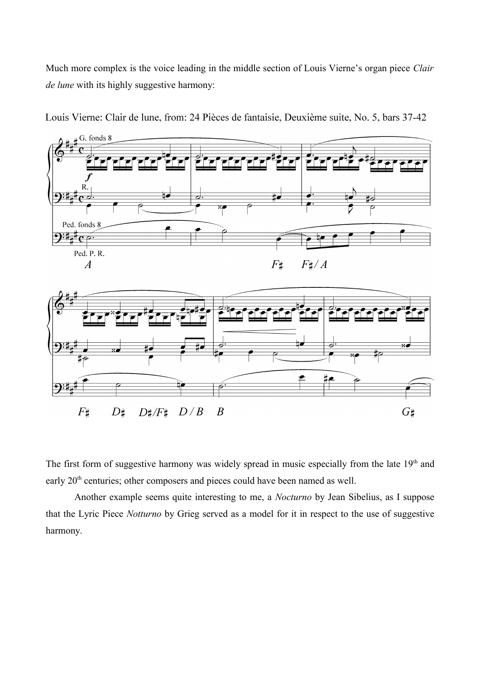Much more complex is the voice leading in the middle section of Louis Vierne's organ piece *Clair de lune* with its highly suggestive harmony:



Louis Vierne: Clair de lune, from: 24 Pièces de fantaisie, Deuxième suite, No. 5, bars 37-42

The first form of suggestive harmony was widely spread in music especially from the late  $19<sup>th</sup>$  and early 20<sup>th</sup> centuries; other composers and pieces could have been named as well.

Another example seems quite interesting to me, a *Nocturno* by Jean Sibelius, as I suppose that the Lyric Piece *Notturno* by Grieg served as a model for it in respect to the use of suggestive harmony.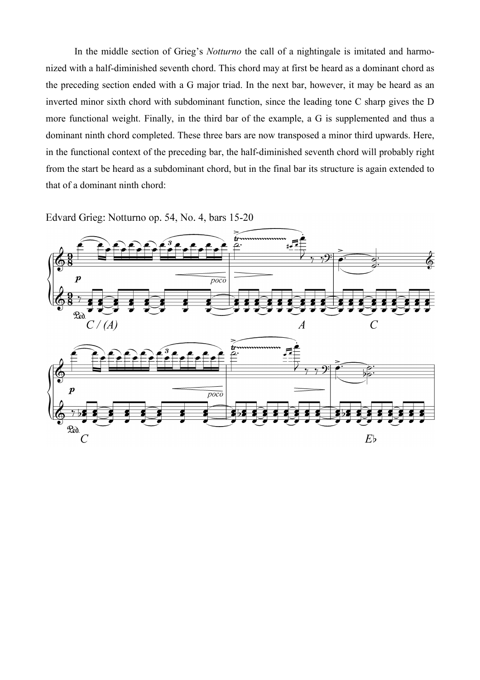In the middle section of Grieg's *Notturno* the call of a nightingale is imitated and harmonized with a half-diminished seventh chord. This chord may at first be heard as a dominant chord as the preceding section ended with a G major triad. In the next bar, however, it may be heard as an inverted minor sixth chord with subdominant function, since the leading tone C sharp gives the D more functional weight. Finally, in the third bar of the example, a G is supplemented and thus a dominant ninth chord completed. These three bars are now transposed a minor third upwards. Here, in the functional context of the preceding bar, the half-diminished seventh chord will probably right from the start be heard as a subdominant chord, but in the final bar its structure is again extended to that of a dominant ninth chord:

Edvard Grieg: Notturno op. 54, No. 4, bars 15-20

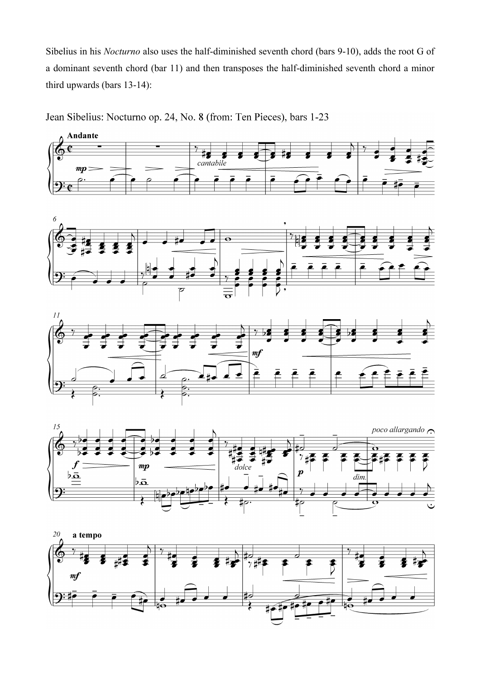Sibelius in his *Nocturno* also uses the half-diminished seventh chord (bars 9-10), adds the root G of a dominant seventh chord (bar 11) and then transposes the half-diminished seventh chord a minor third upwards (bars 13-14):

Jean Sibelius: Nocturno op. 24, No. 8 (from: Ten Pieces), bars 1-23







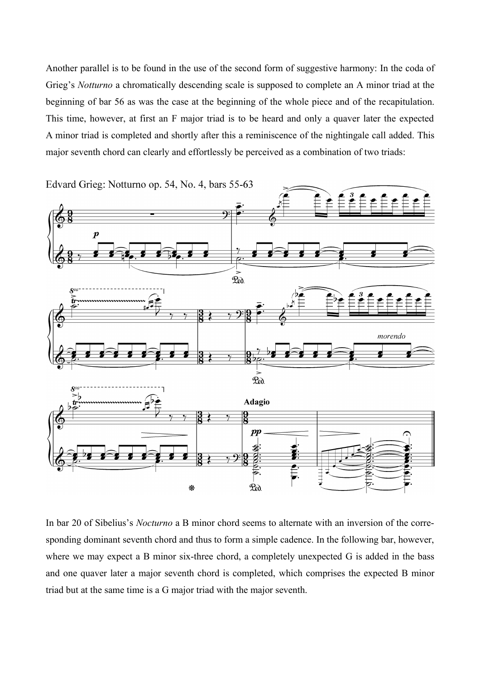Another parallel is to be found in the use of the second form of suggestive harmony: In the coda of Grieg's *Notturno* a chromatically descending scale is supposed to complete an A minor triad at the beginning of bar 56 as was the case at the beginning of the whole piece and of the recapitulation. This time, however, at first an F major triad is to be heard and only a quaver later the expected A minor triad is completed and shortly after this a reminiscence of the nightingale call added. This major seventh chord can clearly and effortlessly be perceived as a combination of two triads:



In bar 20 of Sibelius's *Nocturno* a B minor chord seems to alternate with an inversion of the corresponding dominant seventh chord and thus to form a simple cadence. In the following bar, however, where we may expect a B minor six-three chord, a completely unexpected G is added in the bass and one quaver later a major seventh chord is completed, which comprises the expected B minor triad but at the same time is a G major triad with the major seventh.